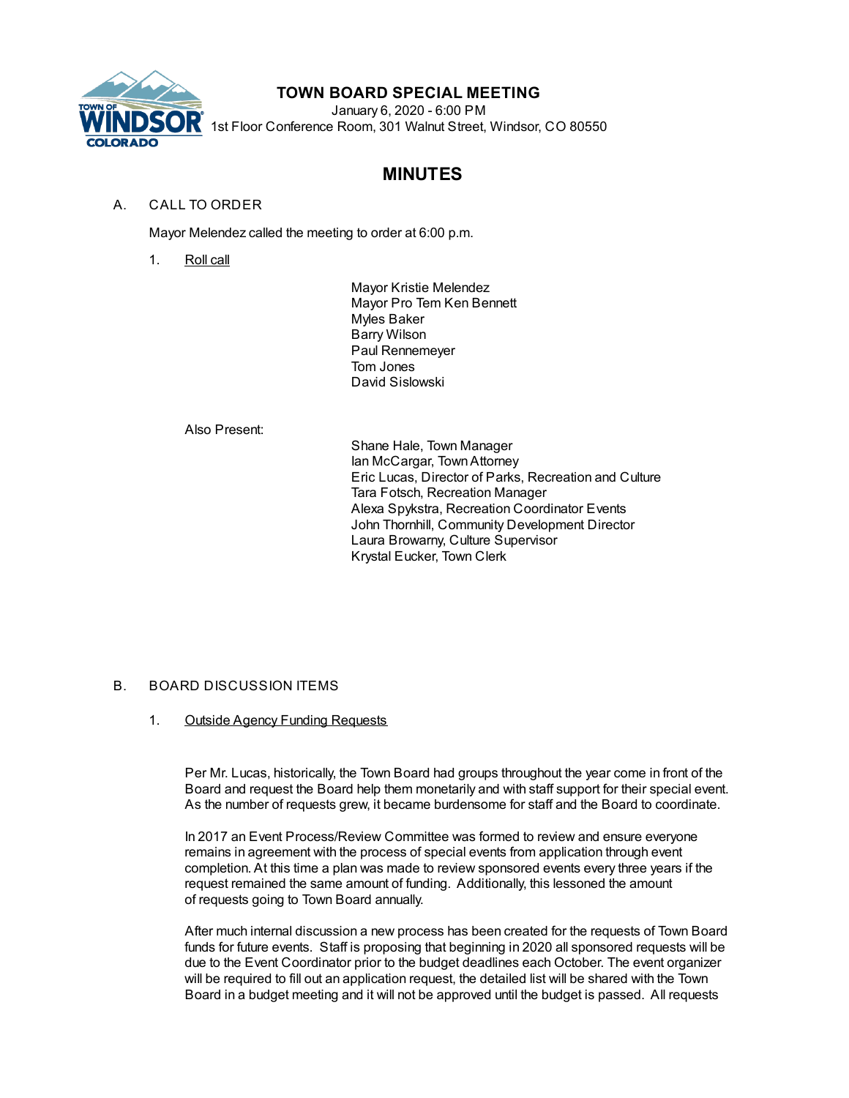

## **TOWN BOARD SPECIAL MEETING**

January 6, 2020 - 6:00 PM 1st Floor Conference Room, 301 Walnut Street, Windsor, CO 80550

# **MINUTES**

## A. CALL TO ORDER

Mayor Melendez called the meeting to order at 6:00 p.m.

1. Roll call

Mayor Kristie Melendez Mayor Pro Tem Ken Bennett Myles Baker Barry Wilson Paul Rennemeyer Tom Jones David Sislowski

Also Present:

Shane Hale, Town Manager Ian McCargar, TownAttorney Eric Lucas, Director of Parks, Recreation and Culture Tara Fotsch, Recreation Manager Alexa Spykstra, Recreation Coordinator Events John Thornhill, Community Development Director Laura Browarny, Culture Supervisor Krystal Eucker, Town Clerk

#### B. BOARD DISCUSSION ITEMS

#### 1. Outside Agency Funding Requests

Per Mr. Lucas, historically, the Town Board had groups throughout the year come in front of the Board and request the Board help them monetarily and with staff support for their special event. As the number of requests grew, it became burdensome for staff and the Board to coordinate.

In 2017 an Event Process/Review Committee was formed to review and ensure everyone remains in agreement with the process of special events from application through event completion. At this time a plan was made to review sponsored events every three years if the request remained the same amount of funding. Additionally, this lessoned the amount of requests going to Town Board annually.

After much internal discussion a new process has been created for the requests of Town Board funds for future events. Staff is proposing that beginning in 2020 all sponsored requests will be due to the Event Coordinator prior to the budget deadlines each October. The event organizer will be required to fill out an application request, the detailed list will be shared with the Town Board in a budget meeting and it will not be approved until the budget is passed. All requests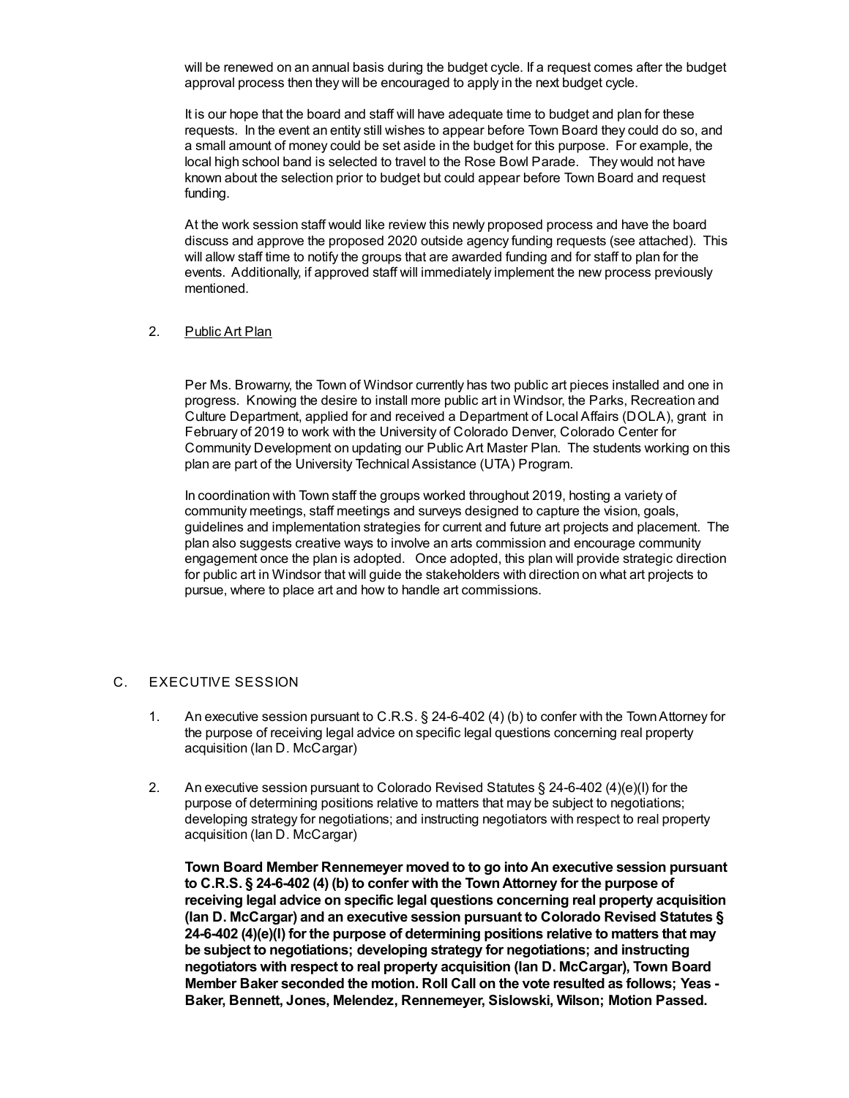will be renewed on an annual basis during the budget cycle. If a request comes after the budget approval process then they will be encouraged to apply in the next budget cycle.

It is our hope that the board and staff will have adequate time to budget and plan for these requests. In the event an entity still wishes to appear before Town Board they could do so, and a small amount of money could be set aside in the budget for this purpose. For example, the local high school band is selected to travel to the Rose Bowl Parade. They would not have known about the selection prior to budget but could appear before Town Board and request funding.

At the work session staff would like review this newly proposed process and have the board discuss and approve the proposed 2020 outside agency funding requests (see attached). This will allow staff time to notify the groups that are awarded funding and for staff to plan for the events. Additionally, if approved staff will immediately implement the new process previously mentioned.

#### 2. Public Art Plan

Per Ms. Browarny, the Town of Windsor currently has two public art pieces installed and one in progress. Knowing the desire to install more public art in Windsor, the Parks, Recreation and Culture Department, applied for and received a Department of Local Affairs (DOLA), grant in February of 2019 to work with the University of Colorado Denver, Colorado Center for Community Development on updating our Public Art Master Plan. The students working on this plan are part of the University Technical Assistance (UTA) Program.

In coordination with Town staff the groups worked throughout 2019, hosting a variety of community meetings, staff meetings and surveys designed to capture the vision, goals, guidelines and implementation strategies for current and future art projects and placement. The plan also suggests creative ways to involve an arts commission and encourage community engagement once the plan is adopted. Once adopted, this plan will provide strategic direction for public art in Windsor that will guide the stakeholders with direction on what art projects to pursue, where to place art and how to handle art commissions.

#### C. EXECUTIVE SESSION

- 1. An executive session pursuant to C.R.S. § 24-6-402 (4) (b) to confer with the TownAttorney for the purpose of receiving legal advice on specific legal questions concerning real property acquisition (Ian D. McCargar)
- 2. An executive session pursuant to Colorado Revised Statutes § 24-6-402 (4)(e)(I) for the purpose of determining positions relative to matters that may be subject to negotiations; developing strategy for negotiations; and instructing negotiators with respect to real property acquisition (Ian D. McCargar)

**Town Board Member Rennemeyer moved to to go intoAn executive session pursuant to C.R.S. § 24-6-402 (4) (b) to confer with the TownAttorney for the purpose of receiving legal advice on specific legal questions concerning real property acquisition (Ian D. McCargar) and an executive session pursuant to Colorado Revised Statutes § 24-6-402 (4)(e)(I) for the purpose of determining positions relative to matters that may be subject to negotiations; developing strategy for negotiations; and instructing negotiators with respect to real property acquisition (Ian D. McCargar), Town Board Member Baker seconded the motion. Roll Call on the vote resulted as follows; Yeas - Baker, Bennett, Jones, Melendez, Rennemeyer, Sislowski, Wilson; Motion Passed.**